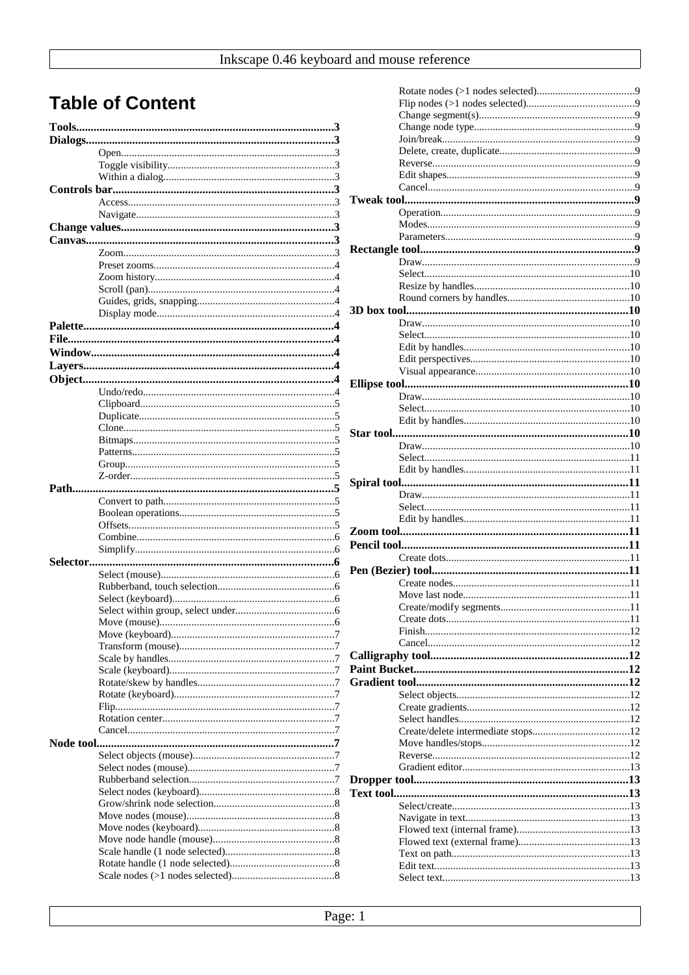# **Table of Content**

| Node tool |  |
|-----------|--|
|           |  |
|           |  |
|           |  |
|           |  |
|           |  |
|           |  |
|           |  |
|           |  |
|           |  |
|           |  |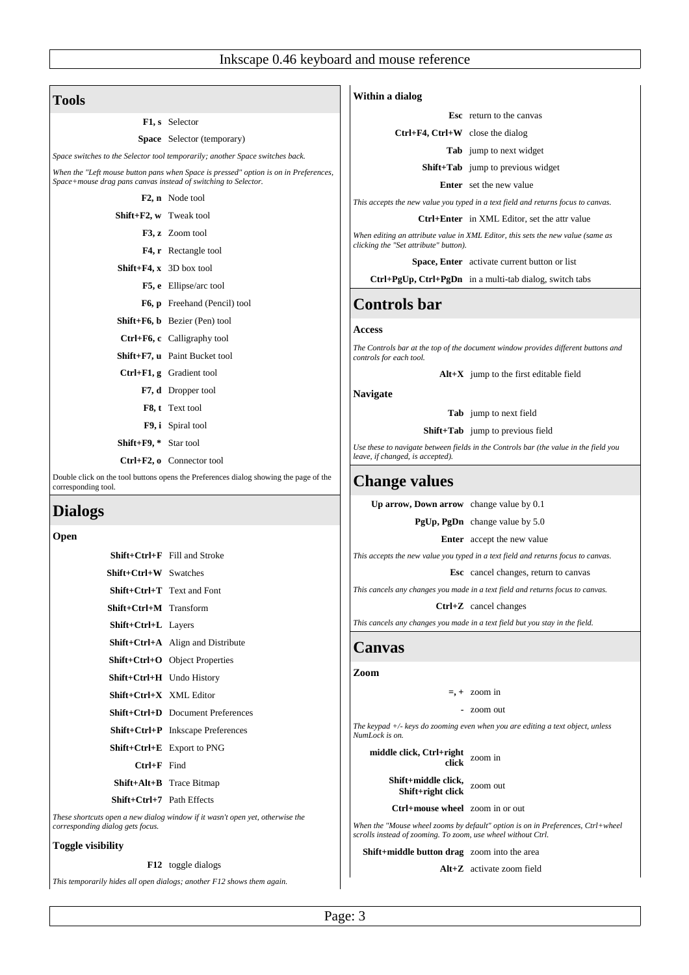| F1, s Selector                                                         |                                                                                       |                                                                                                 | <b>Esc</b> return to the canvas                                                      |
|------------------------------------------------------------------------|---------------------------------------------------------------------------------------|-------------------------------------------------------------------------------------------------|--------------------------------------------------------------------------------------|
|                                                                        | <b>Space</b> Selector (temporary)                                                     | $Ctrl+F4, Crit+W$ close the dialog                                                              |                                                                                      |
|                                                                        | Space switches to the Selector tool temporarily; another Space switches back.         |                                                                                                 | <b>Tab</b> jump to next widget                                                       |
|                                                                        | When the "Left mouse button pans when Space is pressed" option is on in Preferences,  |                                                                                                 | Shift+Tab jump to previous widget                                                    |
| Space+mouse drag pans canvas instead of switching to Selector.         |                                                                                       |                                                                                                 | <b>Enter</b> set the new value                                                       |
| <b>F2, n</b> Node tool                                                 |                                                                                       |                                                                                                 | This accepts the new value you typed in a text field and returns focus to canvas.    |
| Shift+F2, w Tweak tool                                                 |                                                                                       |                                                                                                 | <b>Ctrl+Enter</b> in XML Editor, set the attr value                                  |
| F3, z Zoom tool                                                        |                                                                                       | clicking the "Set attribute" button).                                                           | When editing an attribute value in XML Editor, this sets the new value (same as      |
|                                                                        | F4, r Rectangle tool                                                                  |                                                                                                 | <b>Space, Enter</b> activate current button or list                                  |
| <b>Shift+F4, x</b> 3D box tool                                         |                                                                                       |                                                                                                 | Ctrl+PgUp, Ctrl+PgDn in a multi-tab dialog, switch tabs                              |
|                                                                        | F5, e Ellipse/arc tool                                                                |                                                                                                 |                                                                                      |
| Shift+F6, b Bezier (Pen) tool                                          | F6, p Freehand (Pencil) tool                                                          | <b>Controls bar</b>                                                                             |                                                                                      |
| Ctrl+F6, c Calligraphy tool                                            |                                                                                       | <b>Access</b>                                                                                   |                                                                                      |
| Shift+F7, u Paint Bucket tool                                          |                                                                                       |                                                                                                 | The Controls bar at the top of the document window provides different buttons and    |
| Ctrl+F1, g Gradient tool                                               |                                                                                       | controls for each tool.                                                                         | $Alt+X$ jump to the first editable field                                             |
|                                                                        | <b>F7, d</b> Dropper tool                                                             |                                                                                                 |                                                                                      |
| F8, t Text tool                                                        |                                                                                       | <b>Navigate</b>                                                                                 |                                                                                      |
| F9, i Spiral tool                                                      |                                                                                       |                                                                                                 | <b>Tab</b> jump to next field                                                        |
| Shift+F9, * Star tool                                                  |                                                                                       |                                                                                                 | <b>Shift+Tab</b> jump to previous field                                              |
| Ctrl+F2, o Connector tool                                              |                                                                                       | leave, if changed, is accepted).                                                                | Use these to navigate between fields in the Controls bar (the value in the field you |
|                                                                        | Double click on the tool buttons opens the Preferences dialog showing the page of the | <b>Change values</b>                                                                            |                                                                                      |
| corresponding tool.                                                    |                                                                                       | Up arrow, Down arrow change value by 0.1                                                        |                                                                                      |
| <b>Dialogs</b>                                                         |                                                                                       |                                                                                                 | PgUp, PgDn change value by 5.0                                                       |
| Open                                                                   |                                                                                       |                                                                                                 | <b>Enter</b> accept the new value                                                    |
| Shift+Ctrl+F Fill and Stroke                                           |                                                                                       |                                                                                                 | This accepts the new value you typed in a text field and returns focus to canvas.    |
| <b>Shift+Ctrl+W</b> Swatches                                           |                                                                                       |                                                                                                 | <b>Esc</b> cancel changes, return to canvas                                          |
| Shift+Ctrl+T Text and Font                                             |                                                                                       |                                                                                                 | This cancels any changes you made in a text field and returns focus to canvas.       |
| Shift+Ctrl+M Transform                                                 |                                                                                       |                                                                                                 | Ctrl+Z cancel changes                                                                |
| Shift+Ctrl+L Layers                                                    |                                                                                       |                                                                                                 | This cancels any changes you made in a text field but you stay in the field.         |
|                                                                        | Shift+Ctrl+A Align and Distribute                                                     | <b>Canvas</b>                                                                                   |                                                                                      |
| Shift+Ctrl+O Object Properties                                         |                                                                                       |                                                                                                 |                                                                                      |
| <b>Shift+Ctrl+H</b> Undo History                                       |                                                                                       | Zoom                                                                                            |                                                                                      |
| Shift+Ctrl+X XML Editor                                                |                                                                                       |                                                                                                 | $= +200m$ in                                                                         |
|                                                                        | <b>Shift+Ctrl+D</b> Document Preferences                                              |                                                                                                 | - zoom out                                                                           |
|                                                                        | Shift+Ctrl+P Inkscape Preferences                                                     | NumLock is on.                                                                                  | The keypad $+/-$ keys do zooming even when you are editing a text object, unless     |
| Shift+Ctrl+E Export to PNG                                             |                                                                                       | middle click, Ctrl+right                                                                        |                                                                                      |
| $Ctrl+F$ Find                                                          |                                                                                       | click                                                                                           | zoom in                                                                              |
| <b>Shift+Alt+B</b> Trace Bitmap                                        |                                                                                       | Shift+middle click,                                                                             | zoom out                                                                             |
| Shift+Ctrl+7 Path Effects                                              |                                                                                       | Shift+right click                                                                               |                                                                                      |
| corresponding dialog gets focus.                                       | These shortcuts open a new dialog window if it wasn't open yet, otherwise the         | Ctrl+mouse wheel zoom in or out<br>scrolls instead of zooming. To zoom, use wheel without Ctrl. | When the "Mouse wheel zooms by default" option is on in Preferences, Ctrl+wheel      |
| <b>Toggle visibility</b>                                               |                                                                                       | Shift+middle button drag zoom into the area                                                     |                                                                                      |
|                                                                        | <b>F12</b> toggle dialogs                                                             |                                                                                                 | Alt+Z activate zoom field                                                            |
| This temporarily hides all open dialogs; another F12 shows them again. |                                                                                       |                                                                                                 |                                                                                      |

Page: 3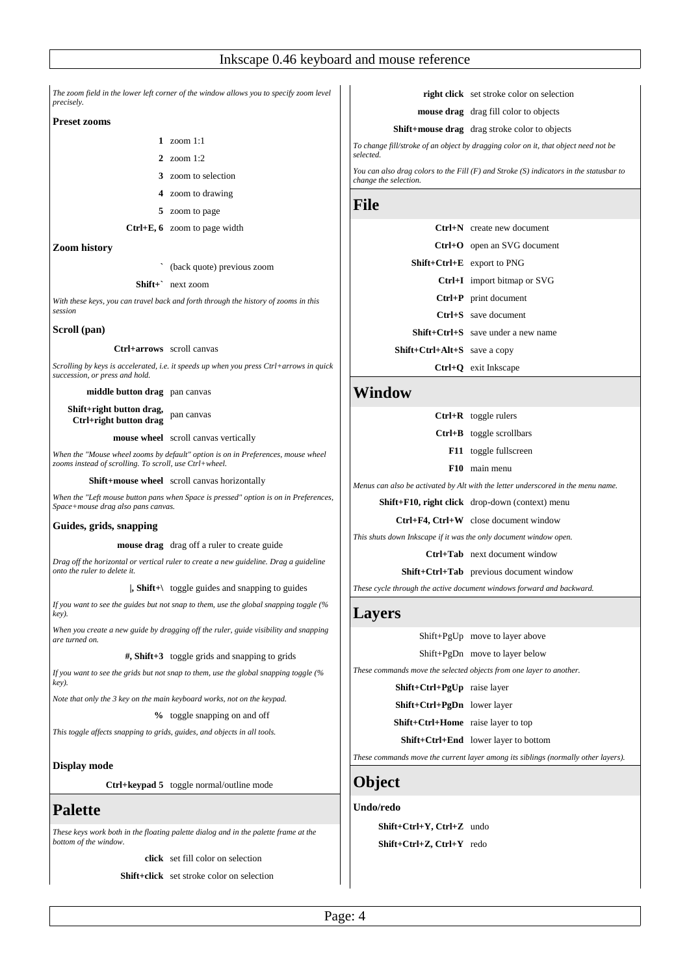| The zoom field in the lower left corner of the window allows you to specify zoom level<br>precisely.<br><b>Preset zooms</b><br>1 zoom $1:1$<br>2 zoom 1:2<br>3 zoom to selection<br>4 zoom to drawing<br><b>File</b><br>5 zoom to page<br>Ctrl+E, 6 zoom to page width<br><b>Zoom history</b><br>(back quote) previous zoom<br>$Shift+$ next zoom<br>With these keys, you can travel back and forth through the history of zooms in this<br>session<br>Scroll (pan)<br>Ctrl+arrows scroll canvas<br>Scrolling by keys is accelerated, i.e. it speeds up when you press Ctrl+arrows in quick<br>succession, or press and hold.<br>middle button drag pan canvas<br>Shift+right button drag,<br>pan canvas<br>Ctrl+right button drag<br><b>mouse wheel</b> scroll canvas vertically<br>When the "Mouse wheel zooms by default" option is on in Preferences, mouse wheel<br>zooms instead of scrolling. To scroll, use Ctrl+wheel.<br><b>Shift+mouse wheel</b> scroll canvas horizontally<br>When the "Left mouse button pans when Space is pressed" option is on in Preferences,<br>Space+mouse drag also pans canvas.<br>Guides, grids, snapping<br><b>mouse drag</b> drag off a ruler to create guide<br>Drag off the horizontal or vertical ruler to create a new guideline. Drag a guideline<br>onto the ruler to delete it.<br>$\vert$ , Shift+\ toggle guides and snapping to guides<br>If you want to see the guides but not snap to them, use the global snapping toggle (%<br>key).<br>When you create a new quide by dragging off the ruler, quide visibility and snapping<br>are turned on.<br>#, Shift+3 toggle grids and snapping to grids<br>If you want to see the grids but not snap to them, use the global snapping toggle (%)<br>key).<br>Note that only the 3 key on the main keyboard works, not on the keypad.<br>% toggle snapping on and off<br>This toggle affects snapping to grids, guides, and objects in all tools.<br><b>Display mode</b><br><b>Ctrl+keypad 5</b> toggle normal/outline mode<br><b>Palette</b> |                                                                                     |                             |
|--------------------------------------------------------------------------------------------------------------------------------------------------------------------------------------------------------------------------------------------------------------------------------------------------------------------------------------------------------------------------------------------------------------------------------------------------------------------------------------------------------------------------------------------------------------------------------------------------------------------------------------------------------------------------------------------------------------------------------------------------------------------------------------------------------------------------------------------------------------------------------------------------------------------------------------------------------------------------------------------------------------------------------------------------------------------------------------------------------------------------------------------------------------------------------------------------------------------------------------------------------------------------------------------------------------------------------------------------------------------------------------------------------------------------------------------------------------------------------------------------------------------------------------------------------------------------------------------------------------------------------------------------------------------------------------------------------------------------------------------------------------------------------------------------------------------------------------------------------------------------------------------------------------------------------------------------------------------------------------------------------------------------------------------|-------------------------------------------------------------------------------------|-----------------------------|
|                                                                                                                                                                                                                                                                                                                                                                                                                                                                                                                                                                                                                                                                                                                                                                                                                                                                                                                                                                                                                                                                                                                                                                                                                                                                                                                                                                                                                                                                                                                                                                                                                                                                                                                                                                                                                                                                                                                                                                                                                                            |                                                                                     |                             |
|                                                                                                                                                                                                                                                                                                                                                                                                                                                                                                                                                                                                                                                                                                                                                                                                                                                                                                                                                                                                                                                                                                                                                                                                                                                                                                                                                                                                                                                                                                                                                                                                                                                                                                                                                                                                                                                                                                                                                                                                                                            |                                                                                     |                             |
|                                                                                                                                                                                                                                                                                                                                                                                                                                                                                                                                                                                                                                                                                                                                                                                                                                                                                                                                                                                                                                                                                                                                                                                                                                                                                                                                                                                                                                                                                                                                                                                                                                                                                                                                                                                                                                                                                                                                                                                                                                            |                                                                                     | To change f                 |
|                                                                                                                                                                                                                                                                                                                                                                                                                                                                                                                                                                                                                                                                                                                                                                                                                                                                                                                                                                                                                                                                                                                                                                                                                                                                                                                                                                                                                                                                                                                                                                                                                                                                                                                                                                                                                                                                                                                                                                                                                                            |                                                                                     | selected.                   |
|                                                                                                                                                                                                                                                                                                                                                                                                                                                                                                                                                                                                                                                                                                                                                                                                                                                                                                                                                                                                                                                                                                                                                                                                                                                                                                                                                                                                                                                                                                                                                                                                                                                                                                                                                                                                                                                                                                                                                                                                                                            |                                                                                     | You can als<br>change the : |
|                                                                                                                                                                                                                                                                                                                                                                                                                                                                                                                                                                                                                                                                                                                                                                                                                                                                                                                                                                                                                                                                                                                                                                                                                                                                                                                                                                                                                                                                                                                                                                                                                                                                                                                                                                                                                                                                                                                                                                                                                                            |                                                                                     |                             |
|                                                                                                                                                                                                                                                                                                                                                                                                                                                                                                                                                                                                                                                                                                                                                                                                                                                                                                                                                                                                                                                                                                                                                                                                                                                                                                                                                                                                                                                                                                                                                                                                                                                                                                                                                                                                                                                                                                                                                                                                                                            |                                                                                     |                             |
|                                                                                                                                                                                                                                                                                                                                                                                                                                                                                                                                                                                                                                                                                                                                                                                                                                                                                                                                                                                                                                                                                                                                                                                                                                                                                                                                                                                                                                                                                                                                                                                                                                                                                                                                                                                                                                                                                                                                                                                                                                            |                                                                                     |                             |
|                                                                                                                                                                                                                                                                                                                                                                                                                                                                                                                                                                                                                                                                                                                                                                                                                                                                                                                                                                                                                                                                                                                                                                                                                                                                                                                                                                                                                                                                                                                                                                                                                                                                                                                                                                                                                                                                                                                                                                                                                                            |                                                                                     |                             |
|                                                                                                                                                                                                                                                                                                                                                                                                                                                                                                                                                                                                                                                                                                                                                                                                                                                                                                                                                                                                                                                                                                                                                                                                                                                                                                                                                                                                                                                                                                                                                                                                                                                                                                                                                                                                                                                                                                                                                                                                                                            |                                                                                     |                             |
|                                                                                                                                                                                                                                                                                                                                                                                                                                                                                                                                                                                                                                                                                                                                                                                                                                                                                                                                                                                                                                                                                                                                                                                                                                                                                                                                                                                                                                                                                                                                                                                                                                                                                                                                                                                                                                                                                                                                                                                                                                            |                                                                                     |                             |
|                                                                                                                                                                                                                                                                                                                                                                                                                                                                                                                                                                                                                                                                                                                                                                                                                                                                                                                                                                                                                                                                                                                                                                                                                                                                                                                                                                                                                                                                                                                                                                                                                                                                                                                                                                                                                                                                                                                                                                                                                                            |                                                                                     |                             |
|                                                                                                                                                                                                                                                                                                                                                                                                                                                                                                                                                                                                                                                                                                                                                                                                                                                                                                                                                                                                                                                                                                                                                                                                                                                                                                                                                                                                                                                                                                                                                                                                                                                                                                                                                                                                                                                                                                                                                                                                                                            |                                                                                     |                             |
|                                                                                                                                                                                                                                                                                                                                                                                                                                                                                                                                                                                                                                                                                                                                                                                                                                                                                                                                                                                                                                                                                                                                                                                                                                                                                                                                                                                                                                                                                                                                                                                                                                                                                                                                                                                                                                                                                                                                                                                                                                            |                                                                                     |                             |
|                                                                                                                                                                                                                                                                                                                                                                                                                                                                                                                                                                                                                                                                                                                                                                                                                                                                                                                                                                                                                                                                                                                                                                                                                                                                                                                                                                                                                                                                                                                                                                                                                                                                                                                                                                                                                                                                                                                                                                                                                                            |                                                                                     |                             |
|                                                                                                                                                                                                                                                                                                                                                                                                                                                                                                                                                                                                                                                                                                                                                                                                                                                                                                                                                                                                                                                                                                                                                                                                                                                                                                                                                                                                                                                                                                                                                                                                                                                                                                                                                                                                                                                                                                                                                                                                                                            |                                                                                     | Wind                        |
|                                                                                                                                                                                                                                                                                                                                                                                                                                                                                                                                                                                                                                                                                                                                                                                                                                                                                                                                                                                                                                                                                                                                                                                                                                                                                                                                                                                                                                                                                                                                                                                                                                                                                                                                                                                                                                                                                                                                                                                                                                            |                                                                                     |                             |
|                                                                                                                                                                                                                                                                                                                                                                                                                                                                                                                                                                                                                                                                                                                                                                                                                                                                                                                                                                                                                                                                                                                                                                                                                                                                                                                                                                                                                                                                                                                                                                                                                                                                                                                                                                                                                                                                                                                                                                                                                                            |                                                                                     |                             |
|                                                                                                                                                                                                                                                                                                                                                                                                                                                                                                                                                                                                                                                                                                                                                                                                                                                                                                                                                                                                                                                                                                                                                                                                                                                                                                                                                                                                                                                                                                                                                                                                                                                                                                                                                                                                                                                                                                                                                                                                                                            |                                                                                     |                             |
|                                                                                                                                                                                                                                                                                                                                                                                                                                                                                                                                                                                                                                                                                                                                                                                                                                                                                                                                                                                                                                                                                                                                                                                                                                                                                                                                                                                                                                                                                                                                                                                                                                                                                                                                                                                                                                                                                                                                                                                                                                            |                                                                                     | Menus can                   |
|                                                                                                                                                                                                                                                                                                                                                                                                                                                                                                                                                                                                                                                                                                                                                                                                                                                                                                                                                                                                                                                                                                                                                                                                                                                                                                                                                                                                                                                                                                                                                                                                                                                                                                                                                                                                                                                                                                                                                                                                                                            |                                                                                     | Shi                         |
|                                                                                                                                                                                                                                                                                                                                                                                                                                                                                                                                                                                                                                                                                                                                                                                                                                                                                                                                                                                                                                                                                                                                                                                                                                                                                                                                                                                                                                                                                                                                                                                                                                                                                                                                                                                                                                                                                                                                                                                                                                            |                                                                                     |                             |
|                                                                                                                                                                                                                                                                                                                                                                                                                                                                                                                                                                                                                                                                                                                                                                                                                                                                                                                                                                                                                                                                                                                                                                                                                                                                                                                                                                                                                                                                                                                                                                                                                                                                                                                                                                                                                                                                                                                                                                                                                                            |                                                                                     | This shuts d                |
|                                                                                                                                                                                                                                                                                                                                                                                                                                                                                                                                                                                                                                                                                                                                                                                                                                                                                                                                                                                                                                                                                                                                                                                                                                                                                                                                                                                                                                                                                                                                                                                                                                                                                                                                                                                                                                                                                                                                                                                                                                            |                                                                                     |                             |
|                                                                                                                                                                                                                                                                                                                                                                                                                                                                                                                                                                                                                                                                                                                                                                                                                                                                                                                                                                                                                                                                                                                                                                                                                                                                                                                                                                                                                                                                                                                                                                                                                                                                                                                                                                                                                                                                                                                                                                                                                                            |                                                                                     | These cycle                 |
|                                                                                                                                                                                                                                                                                                                                                                                                                                                                                                                                                                                                                                                                                                                                                                                                                                                                                                                                                                                                                                                                                                                                                                                                                                                                                                                                                                                                                                                                                                                                                                                                                                                                                                                                                                                                                                                                                                                                                                                                                                            |                                                                                     | Layer                       |
|                                                                                                                                                                                                                                                                                                                                                                                                                                                                                                                                                                                                                                                                                                                                                                                                                                                                                                                                                                                                                                                                                                                                                                                                                                                                                                                                                                                                                                                                                                                                                                                                                                                                                                                                                                                                                                                                                                                                                                                                                                            |                                                                                     |                             |
|                                                                                                                                                                                                                                                                                                                                                                                                                                                                                                                                                                                                                                                                                                                                                                                                                                                                                                                                                                                                                                                                                                                                                                                                                                                                                                                                                                                                                                                                                                                                                                                                                                                                                                                                                                                                                                                                                                                                                                                                                                            |                                                                                     |                             |
|                                                                                                                                                                                                                                                                                                                                                                                                                                                                                                                                                                                                                                                                                                                                                                                                                                                                                                                                                                                                                                                                                                                                                                                                                                                                                                                                                                                                                                                                                                                                                                                                                                                                                                                                                                                                                                                                                                                                                                                                                                            |                                                                                     | These comn                  |
|                                                                                                                                                                                                                                                                                                                                                                                                                                                                                                                                                                                                                                                                                                                                                                                                                                                                                                                                                                                                                                                                                                                                                                                                                                                                                                                                                                                                                                                                                                                                                                                                                                                                                                                                                                                                                                                                                                                                                                                                                                            |                                                                                     |                             |
|                                                                                                                                                                                                                                                                                                                                                                                                                                                                                                                                                                                                                                                                                                                                                                                                                                                                                                                                                                                                                                                                                                                                                                                                                                                                                                                                                                                                                                                                                                                                                                                                                                                                                                                                                                                                                                                                                                                                                                                                                                            |                                                                                     |                             |
|                                                                                                                                                                                                                                                                                                                                                                                                                                                                                                                                                                                                                                                                                                                                                                                                                                                                                                                                                                                                                                                                                                                                                                                                                                                                                                                                                                                                                                                                                                                                                                                                                                                                                                                                                                                                                                                                                                                                                                                                                                            |                                                                                     |                             |
|                                                                                                                                                                                                                                                                                                                                                                                                                                                                                                                                                                                                                                                                                                                                                                                                                                                                                                                                                                                                                                                                                                                                                                                                                                                                                                                                                                                                                                                                                                                                                                                                                                                                                                                                                                                                                                                                                                                                                                                                                                            |                                                                                     | These comn                  |
|                                                                                                                                                                                                                                                                                                                                                                                                                                                                                                                                                                                                                                                                                                                                                                                                                                                                                                                                                                                                                                                                                                                                                                                                                                                                                                                                                                                                                                                                                                                                                                                                                                                                                                                                                                                                                                                                                                                                                                                                                                            |                                                                                     | Objec                       |
|                                                                                                                                                                                                                                                                                                                                                                                                                                                                                                                                                                                                                                                                                                                                                                                                                                                                                                                                                                                                                                                                                                                                                                                                                                                                                                                                                                                                                                                                                                                                                                                                                                                                                                                                                                                                                                                                                                                                                                                                                                            |                                                                                     | Undo/reo                    |
| bottom of the window.                                                                                                                                                                                                                                                                                                                                                                                                                                                                                                                                                                                                                                                                                                                                                                                                                                                                                                                                                                                                                                                                                                                                                                                                                                                                                                                                                                                                                                                                                                                                                                                                                                                                                                                                                                                                                                                                                                                                                                                                                      | These keys work both in the floating palette dialog and in the palette frame at the | Shi                         |
| click set fill color on selection                                                                                                                                                                                                                                                                                                                                                                                                                                                                                                                                                                                                                                                                                                                                                                                                                                                                                                                                                                                                                                                                                                                                                                                                                                                                                                                                                                                                                                                                                                                                                                                                                                                                                                                                                                                                                                                                                                                                                                                                          |                                                                                     | Shi                         |

**Shift+click** set stroke color on selection

# **right click** set stroke color on selection

**mouse drag** drag fill color to objects

# **Shift+mouse drag** drag stroke color to objects

*To change fill/stroke of an object by dragging color on it, that object need not be*

*You can also drag colors to the Fill (F) and Stroke (S) indicators in the statusbar to change the selection.*

|                              | $Ctrl+N$ create new document         |
|------------------------------|--------------------------------------|
|                              |                                      |
|                              | Ctrl+O open an SVG document          |
|                              | $Shift+Ctrl+E$ export to PNG         |
|                              | <b>Ctrl+I</b> import bitmap or SVG   |
|                              | Ctrl+P print document                |
|                              | Ctrl+S save document                 |
|                              | $Shift+Ctrl+S$ save under a new name |
| Shift+Ctrl+Alt+S save a copy |                                      |

**Ctrl+Q** exit Inkscape

# **0w**

| $Ctrl+R$ toggle rulers                                                 |
|------------------------------------------------------------------------|
| Ctrl+B toggle scrollbars                                               |
| <b>F11</b> toggle fullscreen                                           |
| F10 main menu                                                          |
| also be activated by Alt with the letter underscored in the menu name. |
| <b>ift+F10, right click</b> drop-down (context) menu                   |

**Ctrl+F4, Ctrl+W** close document window

*This shuts down Inkscape if it was the only document window open.*

**Ctrl+Tab** next document window

**Shift+Ctrl+Tab** previous document window

through the active document windows forward and backward.

# **Layers**

Shift+PgUp move to layer above

Shift+PgDn move to layer below

*These commands move the selected objects from one layer to another.*

**Shift+Ctrl+PgUp** raise layer

**Shift+Ctrl+PgDn** lower layer

**Shift+Ctrl+Home** raise layer to top

**Shift+Ctrl+End** lower layer to bottom

*These commands move the current layer among its siblings (normally other layers).*

# **Object**

**do** 

**Shift+Ctrl+Y, Ctrl+Z** undo **Shift+Ctrl+Z, Ctrl+Y** redo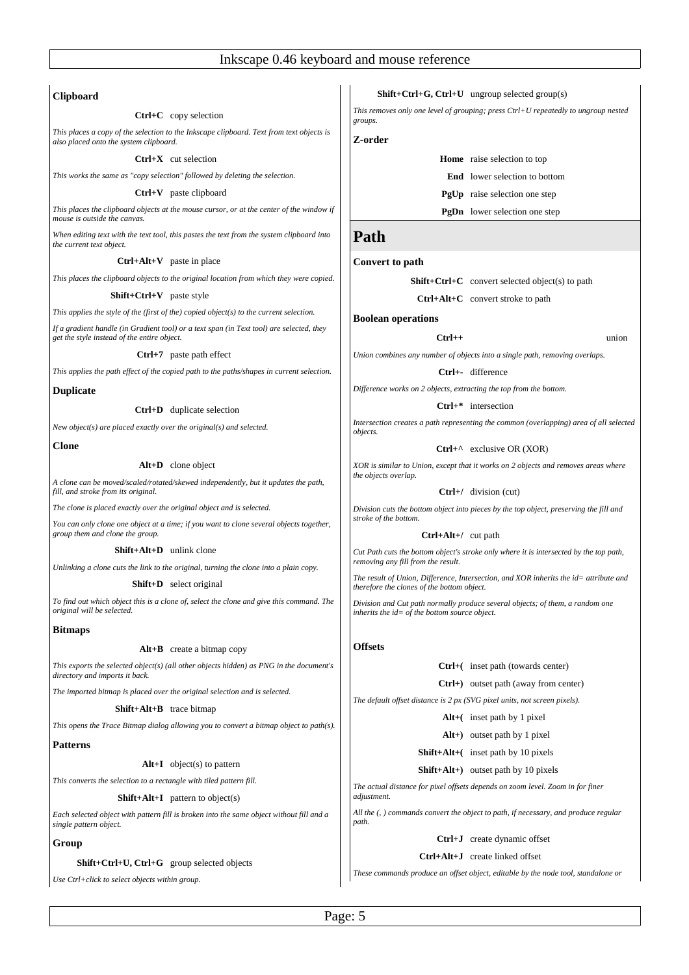# **Clipboard**

#### **Ctrl+C** copy selection

*This places a copy of the selection to the Inkscape clipboard. Text from text objects is also placed onto the system clipboard.*

# **Ctrl+X** cut selection

*This works the same as "copy selection" followed by deleting the selection.*

# **Ctrl+V** paste clipboard

*This places the clipboard objects at the mouse cursor, or at the center of the window if mouse is outside the canvas.*

*When editing text with the text tool, this pastes the text from the system clipboard into the current text object.*

# **Ctrl+Alt+V** paste in place

*This places the clipboard objects to the original location from which they were copied.*

# **Shift+Ctrl+V** paste style

*This applies the style of the (first of the) copied object(s) to the current selection.*

*If a gradient handle (in Gradient tool) or a text span (in Text tool) are selected, they get the style instead of the entire object.*

#### **Ctrl+7** paste path effect

*This applies the path effect of the copied path to the paths/shapes in current selection.*

# **Duplicate**

# **Ctrl+D** duplicate selection

*New object(s) are placed exactly over the original(s) and selected.*

# **Clone**

# **Alt+D** clone object

*A clone can be moved/scaled/rotated/skewed independently, but it updates the path, fill, and stroke from its original.*

*The clone is placed exactly over the original object and is selected.*

*You can only clone one object at a time; if you want to clone several objects together, group them and clone the group.*

# **Shift+Alt+D** unlink clone

*Unlinking a clone cuts the link to the original, turning the clone into a plain copy.*

# **Shift+D** select original

*To find out which object this is a clone of, select the clone and give this command. The original will be selected.*

# **Bitmaps**

# **Alt+B** create a bitmap copy

*This exports the selected object(s) (all other objects hidden) as PNG in the document's directory and imports it back.*

*The imported bitmap is placed over the original selection and is selected.*

# **Shift+Alt+B** trace bitmap

*This opens the Trace Bitmap dialog allowing you to convert a bitmap object to path(s).*

# **Patterns**

**Alt+I** object(s) to pattern

*This converts the selection to a rectangle with tiled pattern fill.*

# **Shift+Alt+I** pattern to object(s)

*Each selected object with pattern fill is broken into the same object without fill and a single pattern object.*

# **Group**

**Shift+Ctrl+U, Ctrl+G** group selected objects

*Use Ctrl+click to select objects within group.*

# **Shift+Ctrl+G, Ctrl+U** ungroup selected group(s)

*This removes only one level of grouping; press Ctrl+U repeatedly to ungroup nested groups.*

# **Z-order**

**Home** raise selection to top

**End** lower selection to bottom

**PgUp** raise selection one step

**PgDn** lower selection one step

# **Path**

# **Convert to path**

**Shift+Ctrl+C** convert selected object(s) to path

**Ctrl+Alt+C** convert stroke to path

# **Boolean operations**

#### **Ctrl++** union

*Union combines any number of objects into a single path, removing overlaps.*

**Ctrl+-** difference

*Difference works on 2 objects, extracting the top from the bottom.*

**Ctrl+\*** intersection

*Intersection creates a path representing the common (overlapping) area of all selected objects.*

# **Ctrl+^** exclusive OR (XOR)

*XOR is similar to Union, except that it works on 2 objects and removes areas where the objects overlap.*

# **Ctrl+/** division (cut)

*Division cuts the bottom object into pieces by the top object, preserving the fill and stroke of the bottom.*

# **Ctrl+Alt+/** cut path

*Cut Path cuts the bottom object's stroke only where it is intersected by the top path, removing any fill from the result.*

*The result of Union, Difference, Intersection, and XOR inherits the id= attribute and therefore the clones of the bottom object.*

*Division and Cut path normally produce several objects; of them, a random one inherits the id= of the bottom source object.*

# **Offsets**

**Ctrl+(** inset path (towards center)

**Ctrl+)** outset path (away from center)

*The default offset distance is 2 px (SVG pixel units, not screen pixels).*

**Alt+(** inset path by 1 pixel

**Alt+)** outset path by 1 pixel

**Shift+Alt+(** inset path by 10 pixels

**Shift+Alt+)** outset path by 10 pixels

*The actual distance for pixel offsets depends on zoom level. Zoom in for finer adjustment.*

*All the (, ) commands convert the object to path, if necessary, and produce regular path.*

# **Ctrl+J** create dynamic offset

# **Ctrl+Alt+J** create linked offset

*These commands produce an offset object, editable by the node tool, standalone or*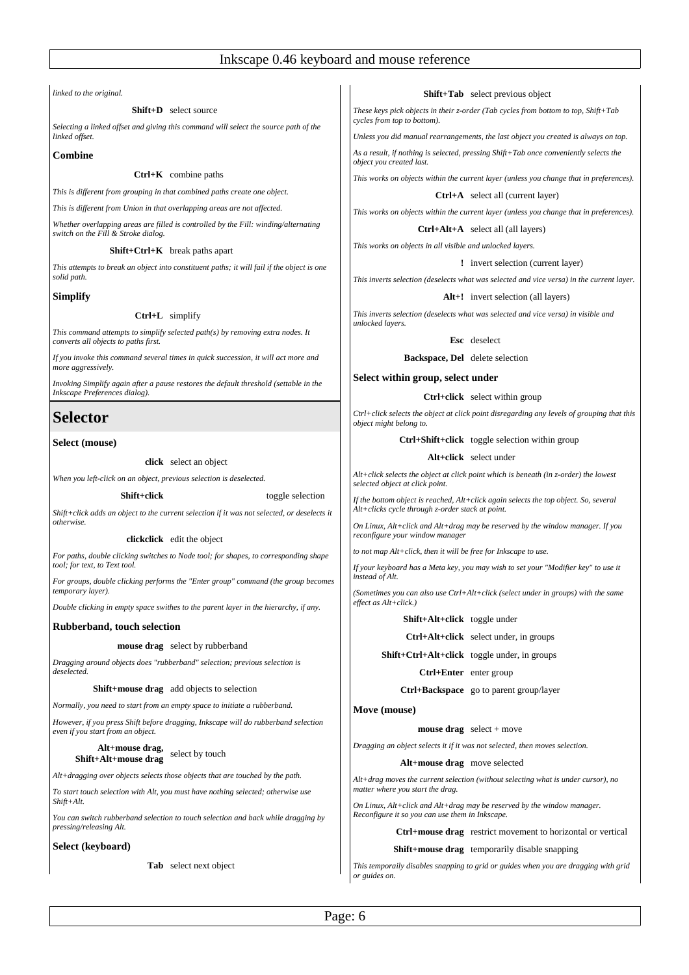*linked to the original.*

# **Shift+D** select source

*Selecting a linked offset and giving this command will select the source path of the linked offset.*

### **Combine**

# **Ctrl+K** combine paths

*This is different from grouping in that combined paths create one object.*

*This is different from Union in that overlapping areas are not affected.*

*Whether overlapping areas are filled is controlled by the Fill: winding/alternating switch on the Fill & Stroke dialog.*

#### **Shift+Ctrl+K** break paths apart

*This attempts to break an object into constituent paths; it will fail if the object is one solid path.*

# **Simplify**

#### **Ctrl+L** simplify

*This command attempts to simplify selected path(s) by removing extra nodes. It converts all objects to paths first.*

*If you invoke this command several times in quick succession, it will act more and more gagressively.* 

*Invoking Simplify again after a pause restores the default threshold (settable in the Inkscape Preferences dialog).*

# **Selector**

# **Select (mouse)**

# **click** select an object

*When you left-click on an object, previous selection is deselected.*

**Shift+click** toggle selection

*Shift+click adds an object to the current selection if it was not selected, or deselects it otherwise.*

#### **clickclick** edit the object

*For paths, double clicking switches to Node tool; for shapes, to corresponding shape tool; for text, to Text tool.*

*For groups, double clicking performs the "Enter group" command (the group becomes temporary layer).*

*Double clicking in empty space swithes to the parent layer in the hierarchy, if any.*

### **Rubberband, touch selection**

#### **mouse drag** select by rubberband

*Dragging around objects does "rubberband" selection; previous selection is deselected.*

**Shift+mouse drag** add objects to selection

*Normally, you need to start from an empty space to initiate a rubberband.*

*However, if you press Shift before dragging, Inkscape will do rubberband selection even if you start from an object.*

# **Alt+mouse drag, Shift+Alt+mouse drag** select by touch

*Alt+dragging over objects selects those objects that are touched by the path.*

*To start touch selection with Alt, you must have nothing selected; otherwise use Shift+Alt.*

*You can switch rubberband selection to touch selection and back while dragging by pressing/releasing Alt.*

# **Select (keyboard)**

**Tab** select next object

# **Shift+Tab** select previous object

*These keys pick objects in their z-order (Tab cycles from bottom to top, Shift+Tab cycles from top to bottom).*

*Unless you did manual rearrangements, the last object you created is always on top.*

*As a result, if nothing is selected, pressing Shift+Tab once conveniently selects the object you created last.*

*This works on objects within the current layer (unless you change that in preferences).*

# **Ctrl+A** select all (current layer)

*This works on objects within the current layer (unless you change that in preferences).*

#### **Ctrl+Alt+A** select all (all layers)

*This works on objects in all visible and unlocked layers.*

**!** invert selection (current layer)

*This inverts selection (deselects what was selected and vice versa) in the current layer.*

**Alt+!** invert selection (all layers)

*This inverts selection (deselects what was selected and vice versa) in visible and unlocked layers.*

#### **Esc** deselect

**Backspace, Del** delete selection

**Select within group, select under**

# **Ctrl+click** select within group

*Ctrl+click selects the object at click point disregarding any levels of grouping that this object might belong to.*

# **Ctrl+Shift+click** toggle selection within group

#### **Alt+click** select under

*Alt+click selects the object at click point which is beneath (in z-order) the lowest selected object at click point.*

*If the bottom object is reached, Alt+click again selects the top object. So, several Alt+clicks cycle through z-order stack at point.*

*On Linux, Alt+click and Alt+drag may be reserved by the window manager. If you reconfigure your window manager* 

*to not map Alt+click, then it will be free for Inkscape to use.* 

*If your keyboard has a Meta key, you may wish to set your "Modifier key" to use it instead of Alt.*

*(Sometimes you can also use Ctrl+Alt+click (select under in groups) with the same effect as Alt+click.)*

**Shift+Alt+click** toggle under

**Ctrl+Alt+click** select under, in groups

**Shift+Ctrl+Alt+click** toggle under, in groups

**Ctrl+Enter** enter group

**Ctrl+Backspace** go to parent group/layer

#### **Move (mouse)**

#### **mouse drag** select + move

*Dragging an object selects it if it was not selected, then moves selection.*

#### **Alt+mouse drag** move selected

*Alt+drag moves the current selection (without selecting what is under cursor), no matter where you start the drag.*

*On Linux, Alt+click and Alt+drag may be reserved by the window manager. Reconfigure it so you can use them in Inkscape.*

**Ctrl+mouse drag** restrict movement to horizontal or vertical

#### **Shift+mouse drag** temporarily disable snapping

*This temporaily disables snapping to grid or guides when you are dragging with grid or guides on.*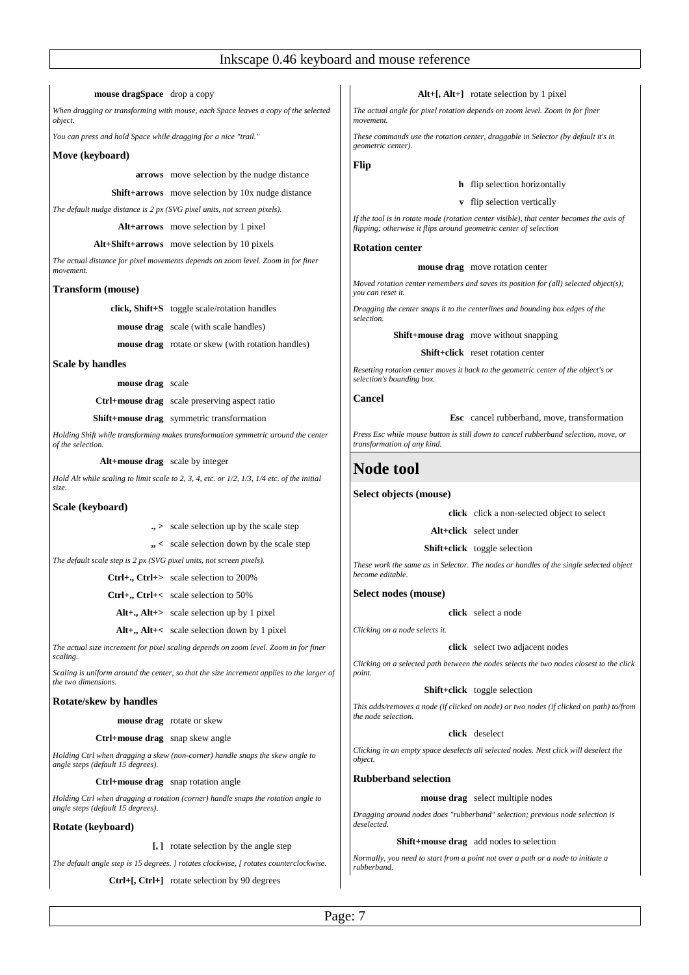**mouse dragSpace** drop a copy

*When dragging or transforming with mouse, each Space leaves a copy of the selected object.*

*You can press and hold Space while dragging for a nice "trail."*

#### **Move (keyboard)**

**arrows** move selection by the nudge distance

**Shift+arrows** move selection by 10x nudge distance

*The default nudge distance is 2 px (SVG pixel units, not screen pixels).*

**Alt+arrows** move selection by 1 pixel

# **Alt+Shift+arrows** move selection by 10 pixels

*The actual distance for pixel movements depends on zoom level. Zoom in for finer movement.*

#### **Transform (mouse)**

**click, Shift+S** toggle scale/rotation handles

**mouse drag** scale (with scale handles)

**mouse drag** rotate or skew (with rotation handles)

# **Scale by handles**

**mouse drag** scale

**Ctrl+mouse drag** scale preserving aspect ratio

#### **Shift+mouse drag** symmetric transformation

*Holding Shift while transforming makes transformation symmetric around the center of the selection.*

#### **Alt+mouse drag** scale by integer

*Hold Alt while scaling to limit scale to 2, 3, 4, etc. or 1/2, 1/3, 1/4 etc. of the initial size.*

#### **Scale (keyboard)**

- **., >** scale selection up by the scale step
- **,, <** scale selection down by the scale step

*The default scale step is 2 px (SVG pixel units, not screen pixels).*

**Ctrl+., Ctrl+>** scale selection to 200%

- **Ctrl+,, Ctrl+<** scale selection to 50%
- **Alt+., Alt+>** scale selection up by 1 pixel
- **Alt+,, Alt+<** scale selection down by 1 pixel

*The actual size increment for pixel scaling depends on zoom level. Zoom in for finer scaling.*

*Scaling is uniform around the center, so that the size increment applies to the larger of the two dimensions.*

### **Rotate/skew by handles**

#### **mouse drag** rotate or skew

**Ctrl+mouse drag** snap skew angle

*Holding Ctrl when dragging a skew (non-corner) handle snaps the skew angle to angle steps (default 15 degrees).*

#### **Ctrl+mouse drag** snap rotation angle

*Holding Ctrl when dragging a rotation (corner) handle snaps the rotation angle to angle steps (default 15 degrees).*

#### **Rotate (keyboard)**

**[, ]** rotate selection by the angle step

*The default angle step is 15 degrees. ] rotates clockwise, [ rotates counterclockwise.*

**Ctrl+[, Ctrl+]** rotate selection by 90 degrees

#### **Alt+[, Alt+]** rotate selection by 1 pixel

*The actual angle for pixel rotation depends on zoom level. Zoom in for finer movement.*

*These commands use the rotation center, draggable in Selector (by default it's in geometric center).*

**Flip**

# **h** flip selection horizontally

# **v** flip selection vertically

*If the tool is in rotate mode (rotation center visible), that center becomes the axis of flipping; otherwise it flips around geometric center of selection*

# **Rotation center**

#### **mouse drag** move rotation center

*Moved rotation center remembers and saves its position for (all) selected object(s); you can reset it.*

*Dragging the center snaps it to the centerlines and bounding box edges of the selection.*

# **Shift+mouse drag** move without snapping

**Shift+click** reset rotation center

*Resetting rotation center moves it back to the geometric center of the object's or selection's bounding box.*

#### **Cancel**

**Esc** cancel rubberband, move, transformation

*Press Esc while mouse button is still down to cancel rubberband selection, move, or transformation of any kind.*

# **Node tool**

# **Select objects (mouse)**

**click** click a non-selected object to select

**Alt+click** select under

**Shift+click** toggle selection

*These work the same as in Selector. The nodes or handles of the single selected object become editable.*

**Select nodes (mouse)**

**click** select a node

*Clicking on a node selects it.*

#### **click** select two adjacent nodes

*Clicking on a selected path between the nodes selects the two nodes closest to the click point.*

# **Shift+click** toggle selection

*This adds/removes a node (if clicked on node) or two nodes (if clicked on path) to/from the node selection.*

### **click** deselect

*Clicking in an empty space deselects all selected nodes. Next click will deselect the object.*

**Rubberband selection**

#### **mouse drag** select multiple nodes

*Dragging around nodes does "rubberband" selection; previous node selection is deselected.*

#### **Shift+mouse drag** add nodes to selection

*Normally, you need to start from a point not over a path or a node to initiate a rubberband.*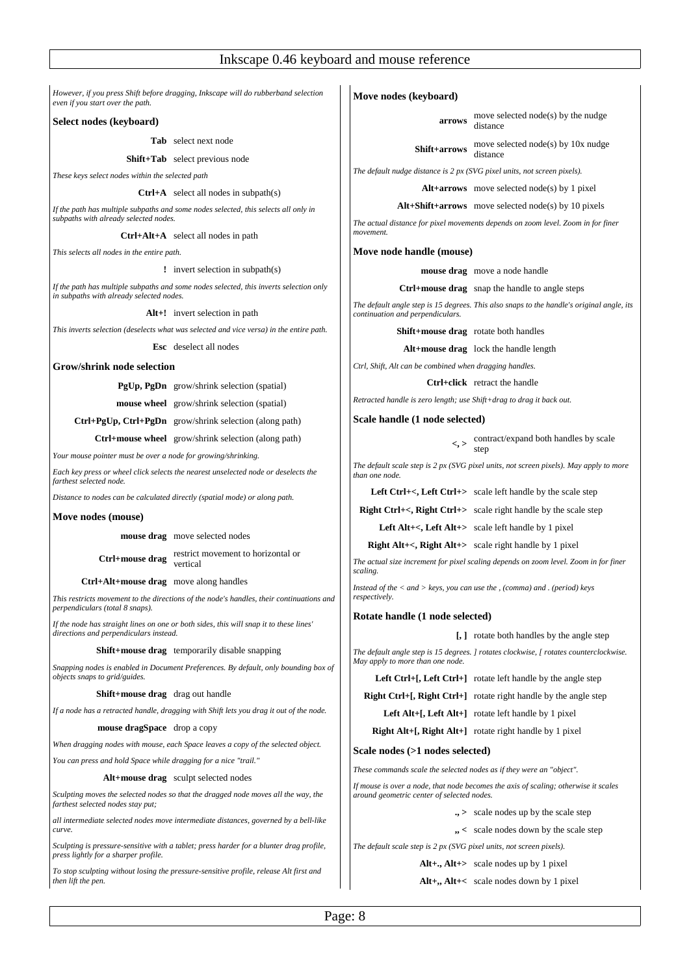*However, if you press Shift before dragging, Inkscape will do rubberband selection even if you start over the path.*

# **Select nodes (keyboard)**

**Tab** select next node

**Shift+Tab** select previous node

*These keys select nodes within the selected path*

#### **Ctrl+A** select all nodes in subpath(s)

*If the path has multiple subpaths and some nodes selected, this selects all only in subpaths with already selected nodes.*

# **Ctrl+Alt+A** select all nodes in path

*This selects all nodes in the entire path.*

**!** invert selection in subpath(s)

*If the path has multiple subpaths and some nodes selected, this inverts selection only in subpaths with already selected nodes.*

**Alt+!** invert selection in path

*This inverts selection (deselects what was selected and vice versa) in the entire path.*

**Esc** deselect all nodes

#### **Grow/shrink node selection**

# **PgUp, PgDn** grow/shrink selection (spatial)

**mouse wheel** grow/shrink selection (spatial)

**Ctrl+PgUp, Ctrl+PgDn** grow/shrink selection (along path)

**Ctrl+mouse wheel** grow/shrink selection (along path)

*Your mouse pointer must be over a node for growing/shrinking.*

*Each key press or wheel click selects the nearest unselected node or deselects the farthest selected node.*

*Distance to nodes can be calculated directly (spatial mode) or along path.*

#### **Move nodes (mouse)**

**mouse drag** move selected nodes

**Ctrl+mouse drag** restrict movement to horizontal or vertical

**Ctrl+Alt+mouse drag** move along handles

*This restricts movement to the directions of the node's handles, their continuations and perpendiculars (total 8 snaps).*

*If the node has straight lines on one or both sides, this will snap it to these lines' directions and perpendiculars instead.*

# **Shift+mouse drag** temporarily disable snapping

*Snapping nodes is enabled in Document Preferences. By default, only bounding box of objects snaps to grid/guides.*

#### **Shift+mouse drag** drag out handle

*If a node has a retracted handle, dragging with Shift lets you drag it out of the node.*

### **mouse dragSpace** drop a copy

*When dragging nodes with mouse, each Space leaves a copy of the selected object.*

*You can press and hold Space while dragging for a nice "trail."*

#### **Alt+mouse drag** sculpt selected nodes

*Sculpting moves the selected nodes so that the dragged node moves all the way, the farthest selected nodes stay put;*

*all intermediate selected nodes move intermediate distances, governed by a bell-like curve.*

*Sculpting is pressure-sensitive with a tablet; press harder for a blunter drag profile, press lightly for a sharper profile.*

*To stop sculpting without losing the pressure-sensitive profile, release Alt first and then lift the pen.*

# **Move nodes (keyboard)**

**arrows** move selected node(s) by the nudge distance

**Shift+arrows** move selected node(s) by 10x nudge distance

*The default nudge distance is 2 px (SVG pixel units, not screen pixels).*

**Alt+arrows** move selected node(s) by 1 pixel

**Alt+Shift+arrows** move selected node(s) by 10 pixels

*The actual distance for pixel movements depends on zoom level. Zoom in for finer movement.*

# **Move node handle (mouse)**

**mouse drag** move a node handle

**Ctrl+mouse drag** snap the handle to angle steps

*The default angle step is 15 degrees. This also snaps to the handle's original angle, its continuation and perpendiculars.*

**Shift+mouse drag** rotate both handles

**Alt+mouse drag** lock the handle length

*Ctrl, Shift, Alt can be combined when dragging handles.*

**Ctrl+click** retract the handle

*Retracted handle is zero length; use Shift+drag to drag it back out.*

#### **Scale handle (1 node selected)**

**<, >** contract/expand both handles by scale step

*The default scale step is 2 px (SVG pixel units, not screen pixels). May apply to more than one node.*

Left Ctrl+<, Left Ctrl+> scale left handle by the scale step

**Right Ctrl+<, Right Ctrl+>** scale right handle by the scale step

**Left Alt+<, Left Alt+>** scale left handle by 1 pixel

**Right Alt+<, Right Alt+>** scale right handle by 1 pixel

*The actual size increment for pixel scaling depends on zoom level. Zoom in for finer scaling.*

*Instead of the < and > keys, you can use the , (comma) and . (period) keys respectively.*

# **Rotate handle (1 node selected)**

**[, ]** rotate both handles by the angle step

*The default angle step is 15 degrees. ] rotates clockwise, [ rotates counterclockwise. May apply to more than one node.*

| <b>Left Ctrl+[, Left Ctrl+]</b> rotate left handle by the angle step    |
|-------------------------------------------------------------------------|
| <b>Right Ctrl+[, Right Ctrl+]</b> rotate right handle by the angle step |

**Left Alt+[, Left Alt+]** rotate left handle by 1 pixel

**Right Alt+[, Right Alt+]** rotate right handle by 1 pixel

# **Scale nodes (>1 nodes selected)**

*These commands scale the selected nodes as if they were an "object".*

*If mouse is over a node, that node becomes the axis of scaling; otherwise it scales around geometric center of selected nodes.*

- **., >** scale nodes up by the scale step
- **,, <** scale nodes down by the scale step

*The default scale step is 2 px (SVG pixel units, not screen pixels).*

**Alt+., Alt+>** scale nodes up by 1 pixel

# **Alt+,, Alt+<** scale nodes down by 1 pixel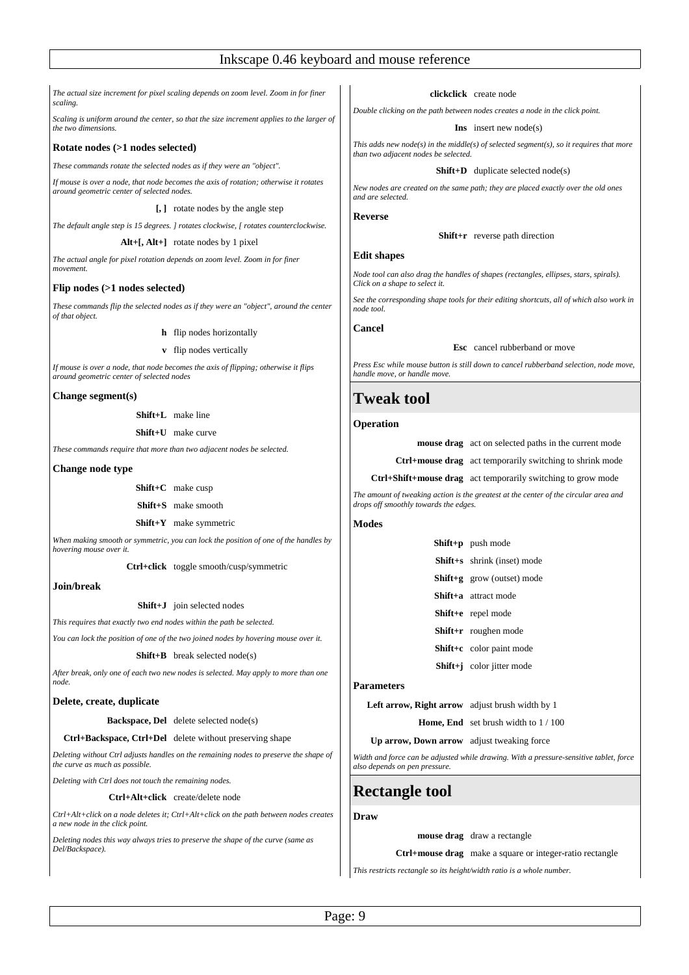*The actual size increment for pixel scaling depends on zoom level. Zoom in for finer scaling.*

*Scaling is uniform around the center, so that the size increment applies to the larger of the two dimensions.*

# **Rotate nodes (>1 nodes selected)**

*These commands rotate the selected nodes as if they were an "object".*

*If mouse is over a node, that node becomes the axis of rotation; otherwise it rotates around geometric center of selected nodes.*

**[, ]** rotate nodes by the angle step

*The default angle step is 15 degrees. ] rotates clockwise, [ rotates counterclockwise.*

**Alt+[, Alt+]** rotate nodes by 1 pixel

*The actual angle for pixel rotation depends on zoom level. Zoom in for finer movement.*

# **Flip nodes (>1 nodes selected)**

*These commands flip the selected nodes as if they were an "object", around the center of that object.*

**h** flip nodes horizontally

**v** flip nodes vertically

*If mouse is over a node, that node becomes the axis of flipping; otherwise it flips around geometric center of selected nodes*

# **Change segment(s)**

**Shift+L** make line

**Shift+U** make curve

*These commands require that more than two adjacent nodes be selected.*

# **Change node type**

**Shift+C** make cusp

**Shift+S** make smooth

**Shift+Y** make symmetric

*When making smooth or symmetric, you can lock the position of one of the handles by hovering mouse over it.*

**Ctrl+click** toggle smooth/cusp/symmetric

# **Join/break**

**Shift+J** join selected nodes

*This requires that exactly two end nodes within the path be selected.*

*You can lock the position of one of the two joined nodes by hovering mouse over it.*

# **Shift+B** break selected node(s)

*After break, only one of each two new nodes is selected. May apply to more than one node.*

# **Delete, create, duplicate**

**Backspace, Del** delete selected node(s)

# **Ctrl+Backspace, Ctrl+Del** delete without preserving shape

*Deleting without Ctrl adjusts handles on the remaining nodes to preserve the shape of the curve as much as possible.*

*Deleting with Ctrl does not touch the remaining nodes.*

#### **Ctrl+Alt+click** create/delete node

*Ctrl+Alt+click on a node deletes it; Ctrl+Alt+click on the path between nodes creates a new node in the click point.*

*Deleting nodes this way always tries to preserve the shape of the curve (same as Del/Backspace).*

# **clickclick** create node

*Double clicking on the path between nodes creates a node in the click point.*

#### **Ins** insert new node(s)

*This adds new node(s) in the middle(s) of selected segment(s), so it requires that more than two adjacent nodes be selected.*

#### **Shift+D** duplicate selected node(s)

*New nodes are created on the same path; they are placed exactly over the old ones and are selected.*

#### **Reverse**

#### **Shift+r** reverse path direction

# **Edit shapes**

*Node tool can also drag the handles of shapes (rectangles, ellipses, stars, spirals). Click on a shape to select it.*

*See the corresponding shape tools for their editing shortcuts, all of which also work in node tool.*

#### **Cancel**

# **Esc** cancel rubberband or move

*Press Esc while mouse button is still down to cancel rubberband selection, node move, handle move, or handle move.*

# **Tweak tool**

#### **Operation**

**mouse drag** act on selected paths in the current mode

**Ctrl+mouse drag** act temporarily switching to shrink mode

#### **Ctrl+Shift+mouse drag** act temporarily switching to grow mode

*The amount of tweaking action is the greatest at the center of the circular area and drops off smoothly towards the edges.*

# **Modes**

| <b>Shift+p</b> push mode           |
|------------------------------------|
| <b>Shift+s</b> shrink (inset) mode |
| <b>Shift+g</b> grow (outset) mode  |
| <b>Shift+a</b> attract mode        |
| Shift+e repel mode                 |
| Shift+r roughen mode               |
| Shift+c color paint mode           |
| Shift+j color jitter mode          |
|                                    |

#### **Parameters**

**Left arrow, Right arrow** adjust brush width by 1

**Home, End** set brush width to 1 / 100

# **Up arrow, Down arrow** adjust tweaking force

*Width and force can be adjusted while drawing. With a pressure-sensitive tablet, force also depends on pen pressure.*

# **Rectangle tool**

**Draw**

#### **mouse drag** draw a rectangle

**Ctrl+mouse drag** make a square or integer-ratio rectangle

*This restricts rectangle so its height/width ratio is a whole number.*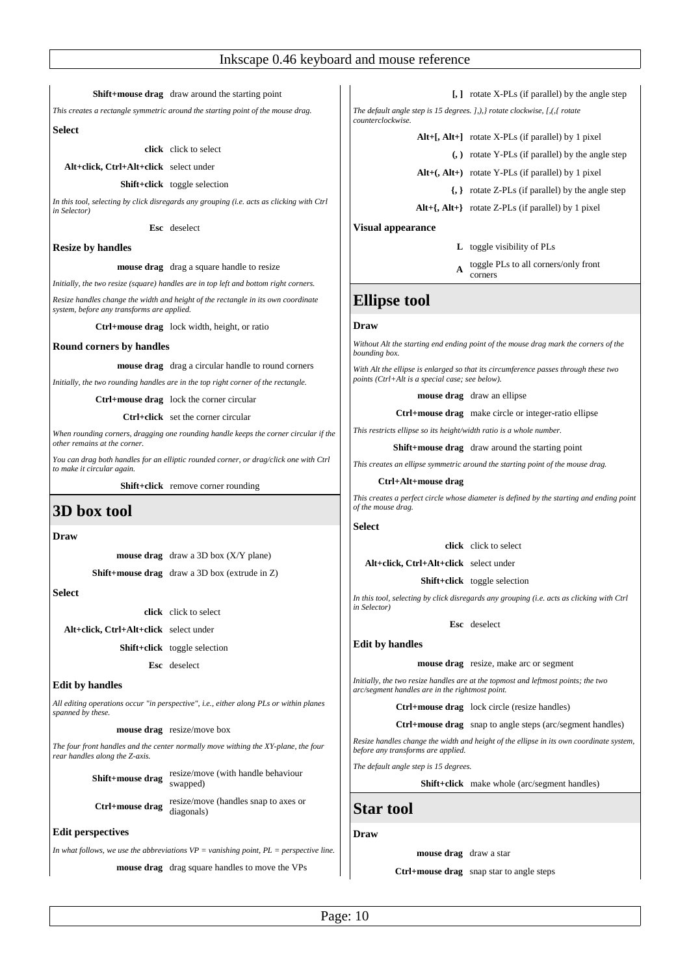# **Shift+mouse drag** draw around the starting point

*This creates a rectangle symmetric around the starting point of the mouse drag.*

#### **Select**

**click** click to select

**Alt+click, Ctrl+Alt+click** select under

# **Shift+click** toggle selection

*In this tool, selecting by click disregards any grouping (i.e. acts as clicking with Ctrl in Selector)*

**Esc** deselect

# **Resize by handles**

#### **mouse drag** drag a square handle to resize

*Initially, the two resize (square) handles are in top left and bottom right corners.*

*Resize handles change the width and height of the rectangle in its own coordinate system, before any transforms are applied.*

**Ctrl+mouse drag** lock width, height, or ratio

#### **Round corners by handles**

**mouse drag** drag a circular handle to round corners

*Initially, the two rounding handles are in the top right corner of the rectangle.*

**Ctrl+mouse drag** lock the corner circular

**Ctrl+click** set the corner circular

*When rounding corners, dragging one rounding handle keeps the corner circular if the other remains at the corner.*

*You can drag both handles for an elliptic rounded corner, or drag/click one with Ctrl to make it circular again.*

**Shift+click** remove corner rounding

# **3D box tool**

### **Draw**

|                                        | <b>mouse drag</b> draw a 3D box $(X/Y)$ plane)       |
|----------------------------------------|------------------------------------------------------|
|                                        | <b>Shift+mouse drag</b> draw a 3D box (extrude in Z) |
| Select                                 |                                                      |
|                                        | click click to select                                |
| Alt+click, Ctrl+Alt+click select under |                                                      |
|                                        | <b>Shift+click</b> toggle selection                  |
|                                        | Esc deselect                                         |

#### **Edit by handles**

*All editing operations occur "in perspective", i.e., either along PLs or within planes spanned by these.*

**mouse drag** resize/move box

*The four front handles and the center normally move withing the XY-plane, the four rear handles along the Z-axis.*

**Shift+mouse drag** resize/move (with handle behaviour swapped)

**Ctrl+mouse drag** resize/move (handles snap to axes or diagonals)

### **Edit perspectives**

*In what follows, we use the abbreviations VP = vanishing point, PL = perspective line.*

**mouse drag** drag square handles to move the VPs

**[, ]** rotate X-PLs (if parallel) by the angle step

*The default angle step is 15 degrees. ],),} rotate clockwise, [,(,{ rotate counterclockwise.*

**Alt+[, Alt+]** rotate X-PLs (if parallel) by 1 pixel

**(, )** rotate Y-PLs (if parallel) by the angle step

- **Alt+(, Alt+)** rotate Y-PLs (if parallel) by 1 pixel
	- **{, }** rotate Z-PLs (if parallel) by the angle step
- **Alt+{, Alt+}** rotate Z-PLs (if parallel) by 1 pixel

**Visual appearance**

**L** toggle visibility of PLs

**A** toggle PLs to all corners/only front corners

# **Ellipse tool**

# **Draw**

*Without Alt the starting end ending point of the mouse drag mark the corners of the bounding box.*

*With Alt the ellipse is enlarged so that its circumference passes through these two points (Ctrl+Alt is a special case; see below).*

#### **mouse drag** draw an ellipse

**Ctrl+mouse drag** make circle or integer-ratio ellipse

*This restricts ellipse so its height/width ratio is a whole number.*

**Shift+mouse drag** draw around the starting point

*This creates an ellipse symmetric around the starting point of the mouse drag.*

# **Ctrl+Alt+mouse drag**

*This creates a perfect circle whose diameter is defined by the starting and ending point of the mouse drag.*

# **Select**

**click** click to select

**Alt+click, Ctrl+Alt+click** select under

**Shift+click** toggle selection

*In this tool, selecting by click disregards any grouping (i.e. acts as clicking with Ctrl in Selector)*

**Esc** deselect

**Edit by handles**

**mouse drag** resize, make arc or segment

*Initially, the two resize handles are at the topmost and leftmost points; the two arc/segment handles are in the rightmost point.*

**Ctrl+mouse drag** lock circle (resize handles)

**Ctrl+mouse drag** snap to angle steps (arc/segment handles)

*Resize handles change the width and height of the ellipse in its own coordinate system, before any transforms are applied.*

*The default angle step is 15 degrees.*

**Shift+click** make whole (arc/segment handles)

# **Star tool**

#### **Draw**

**mouse drag** draw a star

**Ctrl+mouse drag** snap star to angle steps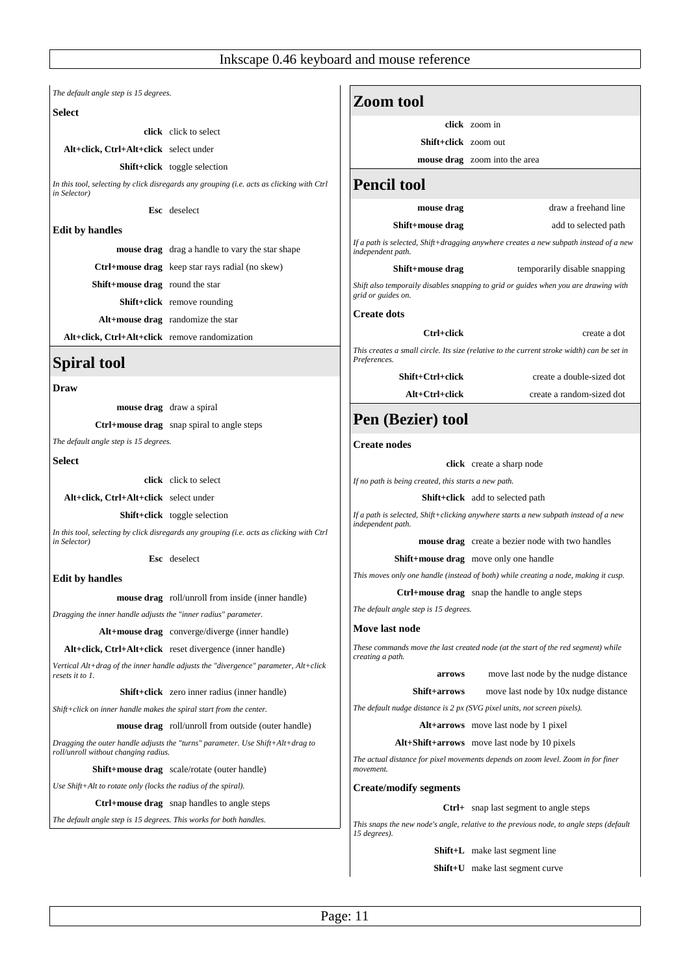*The default angle step is 15 degrees.*

# **Select**

**click** click to select

**Alt+click, Ctrl+Alt+click** select under

**Shift+click** toggle selection

*In this tool, selecting by click disregards any grouping (i.e. acts as clicking with Ctrl in Selector)*

**Esc** deselect

# **Edit by handles**

**mouse drag** drag a handle to vary the star shape **Ctrl+mouse drag** keep star rays radial (no skew) **Shift+mouse drag** round the star **Shift+click** remove rounding **Alt+mouse drag** randomize the star

**Alt+click, Ctrl+Alt+click** remove randomization

# **Spiral tool**

# **Draw**

**mouse drag** draw a spiral

**Ctrl+mouse drag** snap spiral to angle steps

*The default angle step is 15 degrees.*

**Select**

**click** click to select

**Alt+click, Ctrl+Alt+click** select under

**Shift+click** toggle selection

*In this tool, selecting by click disregards any grouping (i.e. acts as clicking with Ctrl in Selector)*

**Esc** deselect

# **Edit by handles**

**mouse drag** roll/unroll from inside (inner handle)

*Dragging the inner handle adjusts the "inner radius" parameter.*

**Alt+mouse drag** converge/diverge (inner handle)

**Alt+click, Ctrl+Alt+click** reset divergence (inner handle)

*Vertical Alt+drag of the inner handle adjusts the "divergence" parameter, Alt+click resets it to 1.*

**Shift+click** zero inner radius (inner handle)

*Shift+click on inner handle makes the spiral start from the center.*

**mouse drag** roll/unroll from outside (outer handle)

*Dragging the outer handle adjusts the "turns" parameter. Use Shift+Alt+drag to roll/unroll without changing radius.*

**Shift+mouse drag** scale/rotate (outer handle)

*Use Shift+Alt to rotate only (locks the radius of the spiral).*

**Ctrl+mouse drag** snap handles to angle steps

*The default angle step is 15 degrees. This works for both handles.*

|                                                      | click zoom in                                                                              |
|------------------------------------------------------|--------------------------------------------------------------------------------------------|
| <b>Shift+click</b> zoom out                          |                                                                                            |
|                                                      | <b>mouse drag</b> zoom into the area                                                       |
| <b>Pencil tool</b>                                   |                                                                                            |
| mouse drag                                           | draw a freehand line                                                                       |
| Shift+mouse drag                                     | add to selected path                                                                       |
| independent path.                                    | If a path is selected, Shift+dragging anywhere creates a new subpath instead of a new      |
| Shift+mouse drag                                     | temporarily disable snapping                                                               |
| grid or guides on.                                   | Shift also temporaily disables snapping to grid or guides when you are drawing with        |
| <b>Create dots</b>                                   |                                                                                            |
| Ctrl+click                                           | create a dot                                                                               |
| Preferences.                                         | This creates a small circle. Its size (relative to the current stroke width) can be set in |
| Shift+Ctrl+click                                     | create a double-sized dot                                                                  |
| Alt+Ctrl+click                                       | create a random-sized dot                                                                  |
| Pen (Bezier) tool<br><b>Create nodes</b>             |                                                                                            |
|                                                      |                                                                                            |
|                                                      | click create a sharp node                                                                  |
| If no path is being created, this starts a new path. |                                                                                            |
|                                                      | <b>Shift+click</b> add to selected path                                                    |
| independent path.                                    | If a path is selected, Shift+clicking anywhere starts a new subpath instead of a new       |
|                                                      | mouse drag create a bezier node with two handles                                           |
|                                                      | Shift+mouse drag move only one handle                                                      |
|                                                      | This moves only one handle (instead of both) while creating a node, making it cusp.        |
|                                                      | <b>Ctrl+mouse drag</b> snap the handle to angle steps                                      |
| The default angle step is 15 degrees.                |                                                                                            |
| <b>Move last node</b>                                |                                                                                            |
| creating a path.                                     | These commands move the last created node (at the start of the red segment) while          |
| arrows                                               | move last node by the nudge distance                                                       |
| Shift+arrows                                         | move last node by 10x nudge distance                                                       |
|                                                      | The default nudge distance is 2 px (SVG pixel units, not screen pixels).                   |
|                                                      | <b>Alt+arrows</b> move last node by 1 pixel                                                |
|                                                      | Alt+Shift+arrows move last node by 10 pixels                                               |

**Create/modify segments**

**Ctrl+** snap last segment to angle steps

*This snaps the new node's angle, relative to the previous node, to angle steps (default 15 degrees).*

**Shift+L** make last segment line

**Shift+U** make last segment curve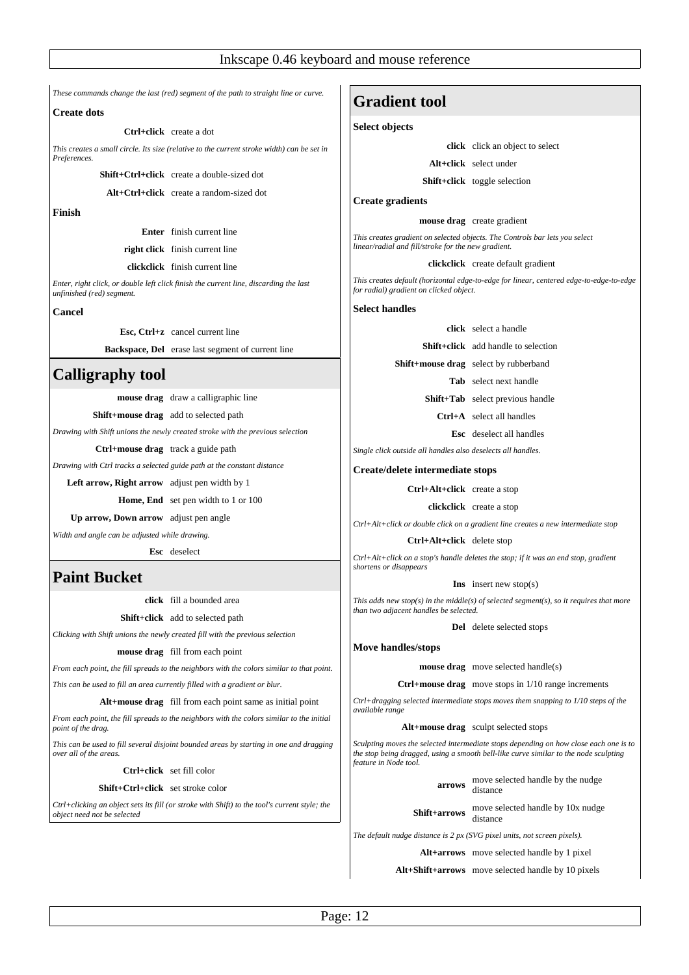*These commands change the last (red) segment of the path to straight line or curve.*

# **Create dots**

**Ctrl+click** create a dot

*This creates a small circle. Its size (relative to the current stroke width) can be set in Preferences.*

**Shift+Ctrl+click** create a double-sized dot

**Alt+Ctrl+click** create a random-sized dot

**Finish**

**Enter** finish current line

**right click** finish current line

**clickclick** finish current line

*Enter, right click, or double left click finish the current line, discarding the last unfinished (red) segment.*

**Cancel**

**Esc, Ctrl+z** cancel current line

**Backspace, Del** erase last segment of current line

# **Calligraphy tool**

**mouse drag** draw a calligraphic line

**Shift+mouse drag** add to selected path

*Drawing with Shift unions the newly created stroke with the previous selection*

**Ctrl+mouse drag** track a guide path

*Drawing with Ctrl tracks a selected guide path at the constant distance*

**Left arrow, Right arrow** adjust pen width by 1

**Home, End** set pen width to 1 or 100

**Up arrow, Down arrow** adjust pen angle

*Width and angle can be adjusted while drawing.* 

**Esc** deselect

# **Paint Bucket**

**click** fill a bounded area

#### **Shift+click** add to selected path

*Clicking with Shift unions the newly created fill with the previous selection*

**mouse drag** fill from each point

*From each point, the fill spreads to the neighbors with the colors similar to that point. This can be used to fill an area currently filled with a gradient or blur.*

**Alt+mouse drag** fill from each point same as initial point

*From each point, the fill spreads to the neighbors with the colors similar to the initial point of the drag.*

*This can be used to fill several disjoint bounded areas by starting in one and dragging over all of the areas.*

**Ctrl+click** set fill color

**Shift+Ctrl+click** set stroke color

*Ctrl+clicking an object sets its fill (or stroke with Shift) to the tool's current style; the object need not be selected*

# **Gradient tool**

#### **Select objects**

**click** click an object to select

**Alt+click** select under

**Shift+click** toggle selection

# **Create gradients**

**mouse drag** create gradient

*This creates gradient on selected objects. The Controls bar lets you select linear/radial and fill/stroke for the new gradient.*

#### **clickclick** create default gradient

*This creates default (horizontal edge-to-edge for linear, centered edge-to-edge-to-edge for radial) gradient on clicked object.* 

**Select handles**

**click** select a handle

**Shift+click** add handle to selection

**Shift+mouse drag** select by rubberband

**Tab** select next handle

**Shift+Tab** select previous handle

**Ctrl+A** select all handles

**Esc** deselect all handles

*Single click outside all handles also deselects all handles.*

**Create/delete intermediate stops**

**Ctrl+Alt+click** create a stop

**clickclick** create a stop

*Ctrl+Alt+click or double click on a gradient line creates a new intermediate stop*

**Ctrl+Alt+click** delete stop

*Ctrl+Alt+click on a stop's handle deletes the stop; if it was an end stop, gradient shortens or disappears*

**Ins** insert new stop(s)

*This adds new stop(s) in the middle(s) of selected segment(s), so it requires that more than two adjacent handles be selected.*

**Del** delete selected stops

**Move handles/stops**

**mouse drag** move selected handle(s)

**Ctrl+mouse drag** move stops in 1/10 range increments

*Ctrl+dragging selected intermediate stops moves them snapping to 1/10 steps of the available range*

**Alt+mouse drag** sculpt selected stops

*Sculpting moves the selected intermediate stops depending on how close each one is to the stop being dragged, using a smooth bell-like curve similar to the node sculpting feature in Node tool.*

> **arrows** move selected handle by the nudge distance

**Shift+arrows** move selected handle by 10x nudge

*The default nudge distance is 2 px (SVG pixel units, not screen pixels).*

**Alt+arrows** move selected handle by 1 pixel

**Alt+Shift+arrows** move selected handle by 10 pixels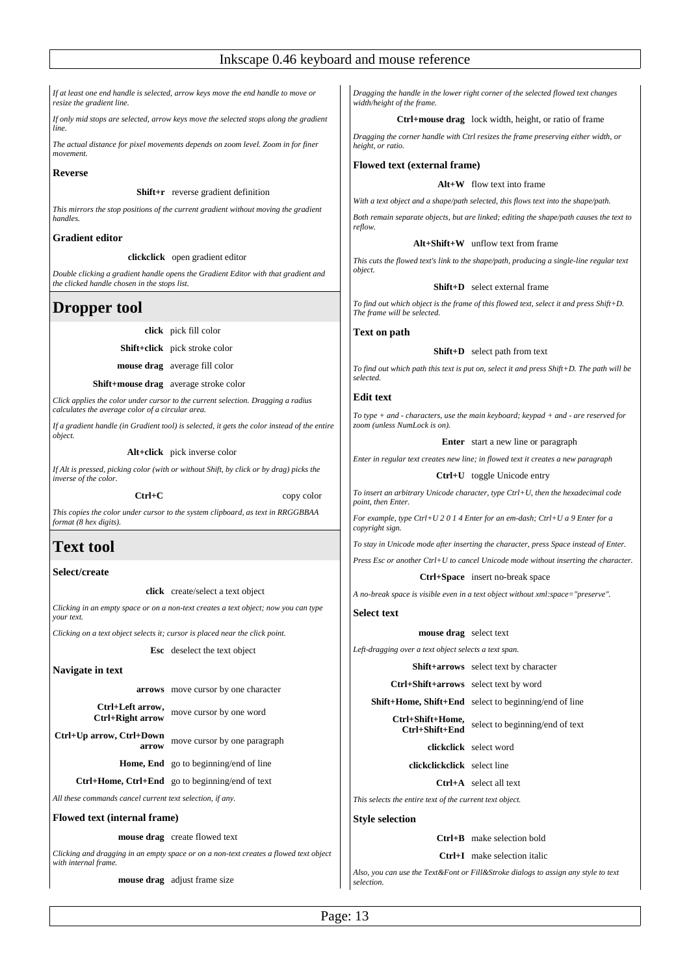*If at least one end handle is selected, arrow keys move the end handle to move or resize the gradient line.*

*If only mid stops are selected, arrow keys move the selected stops along the gradient line.*

*The actual distance for pixel movements depends on zoom level. Zoom in for finer movement.*

# **Reverse**

**Shift+r** reverse gradient definition

*This mirrors the stop positions of the current gradient without moving the gradient handles.*

# **Gradient editor**

**clickclick** open gradient editor

*Double clicking a gradient handle opens the Gradient Editor with that gradient and the clicked handle chosen in the stops list.*

# **Dropper tool**

**click** pick fill color

**Shift+click** pick stroke color

**mouse drag** average fill color

**Shift+mouse drag** average stroke color

*Click applies the color under cursor to the current selection. Dragging a radius calculates the average color of a circular area.*

*If a gradient handle (in Gradient tool) is selected, it gets the color instead of the entire object.*

**Alt+click** pick inverse color

*If Alt is pressed, picking color (with or without Shift, by click or by drag) picks the inverse of the color.*

**Ctrl+C** copy color

*This copies the color under cursor to the system clipboard, as text in RRGGBBAA format (8 hex digits).*

# **Text tool**

# **Select/create**

**click** create/select a text object

*Clicking in an empty space or on a non-text creates a text object; now you can type your text.*

*Clicking on a text object selects it; cursor is placed near the click point.*

**Esc** deselect the text object

**Navigate in text**

**arrows** move cursor by one character

**Ctrl+Left arrow, Ctrl+Right arrow** move cursor by one word

**Ctrl+Up arrow, Ctrl+Down arrow** move cursor by one paragraph

**Home, End** go to beginning/end of line

**Ctrl+Home, Ctrl+End** go to beginning/end of text

*All these commands cancel current text selection, if any.*

**Flowed text (internal frame)**

**mouse drag** create flowed text

*Clicking and dragging in an empty space or on a non-text creates a flowed text object with internal frame.*

**mouse drag** adjust frame size

*Dragging the handle in the lower right corner of the selected flowed text changes width/height of the frame.*

**Ctrl+mouse drag** lock width, height, or ratio of frame

*Dragging the corner handle with Ctrl resizes the frame preserving either width, or height, or ratio.*

# **Flowed text (external frame)**

# **Alt+W** flow text into frame

*With a text object and a shape/path selected, this flows text into the shape/path.*

*Both remain separate objects, but are linked; editing the shape/path causes the text to reflow.*

#### **Alt+Shift+W** unflow text from frame

*This cuts the flowed text's link to the shape/path, producing a single-line regular text object.*

# **Shift+D** select external frame

*To find out which object is the frame of this flowed text, select it and press Shift+D. The frame will be selected.*

**Text on path**

# **Shift+D** select path from text

*To find out which path this text is put on, select it and press Shift+D. The path will be selected.*

# **Edit text**

*To type + and - characters, use the main keyboard; keypad + and - are reserved for zoom (unless NumLock is on).*

**Enter** start a new line or paragraph

*Enter in regular text creates new line; in flowed text it creates a new paragraph*

#### **Ctrl+U** toggle Unicode entry

*To insert an arbitrary Unicode character, type Ctrl+U, then the hexadecimal code point, then Enter.*

*For example, type Ctrl+U 2 0 1 4 Enter for an em-dash; Ctrl+U a 9 Enter for a copyright sign.*

*To stay in Unicode mode after inserting the character, press Space instead of Enter. Press Esc or another Ctrl+U to cancel Unicode mode without inserting the character.*

**Ctrl+Space** insert no-break space

*A no-break space is visible even in a text object without xml:space="preserve".*

**Select text**

# **mouse drag** select text

*Left-dragging over a text object selects a text span.*

**Shift+arrows** select text by character

**Ctrl+Shift+arrows** select text by word

**Shift+Home, Shift+End** select to beginning/end of line

**Ctrl+Shift+Home, Ctrl+Shift+End** select to beginning/end of text

**clickclick** select word

**clickclickclick** select line

**Ctrl+A** select all text

*This selects the entire text of the current text object.*

#### **Style selection**

**Ctrl+B** make selection bold

**Ctrl+I** make selection italic

*Also, you can use the Text&Font or Fill&Stroke dialogs to assign any style to text selection.*